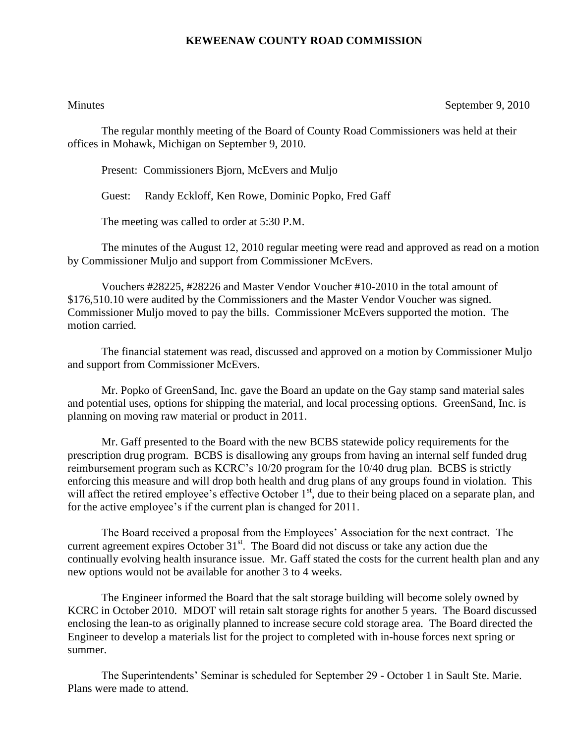## **KEWEENAW COUNTY ROAD COMMISSION**

Minutes September 9, 2010

The regular monthly meeting of the Board of County Road Commissioners was held at their offices in Mohawk, Michigan on September 9, 2010.

Present: Commissioners Bjorn, McEvers and Muljo

Guest: Randy Eckloff, Ken Rowe, Dominic Popko, Fred Gaff

The meeting was called to order at 5:30 P.M.

The minutes of the August 12, 2010 regular meeting were read and approved as read on a motion by Commissioner Muljo and support from Commissioner McEvers.

Vouchers #28225, #28226 and Master Vendor Voucher #10-2010 in the total amount of \$176,510.10 were audited by the Commissioners and the Master Vendor Voucher was signed. Commissioner Muljo moved to pay the bills. Commissioner McEvers supported the motion. The motion carried.

The financial statement was read, discussed and approved on a motion by Commissioner Muljo and support from Commissioner McEvers.

Mr. Popko of GreenSand, Inc. gave the Board an update on the Gay stamp sand material sales and potential uses, options for shipping the material, and local processing options. GreenSand, Inc. is planning on moving raw material or product in 2011.

Mr. Gaff presented to the Board with the new BCBS statewide policy requirements for the prescription drug program. BCBS is disallowing any groups from having an internal self funded drug reimbursement program such as KCRC's 10/20 program for the 10/40 drug plan. BCBS is strictly enforcing this measure and will drop both health and drug plans of any groups found in violation. This will affect the retired employee's effective October  $1<sup>st</sup>$ , due to their being placed on a separate plan, and for the active employee's if the current plan is changed for 2011.

The Board received a proposal from the Employees' Association for the next contract. The current agreement expires October 31<sup>st</sup>. The Board did not discuss or take any action due the continually evolving health insurance issue. Mr. Gaff stated the costs for the current health plan and any new options would not be available for another 3 to 4 weeks.

The Engineer informed the Board that the salt storage building will become solely owned by KCRC in October 2010. MDOT will retain salt storage rights for another 5 years. The Board discussed enclosing the lean-to as originally planned to increase secure cold storage area. The Board directed the Engineer to develop a materials list for the project to completed with in-house forces next spring or summer.

The Superintendents' Seminar is scheduled for September 29 - October 1 in Sault Ste. Marie. Plans were made to attend.